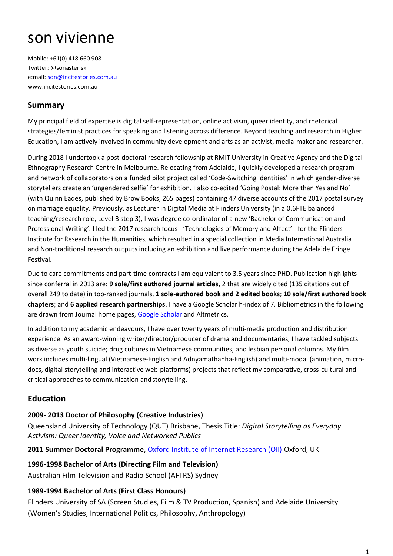# son vivienne

Mobile: +61(0) 418 660 908 Twitter: @sonasterisk e:mail: [son@incitestories.com.au](mailto:son@incitestories.com.au) [www.incitestories.com.au](http://www.incitestories.com.au/) 

## **Summary**

My principal field of expertise is digital self-representation, online activism, queer identity, and rhetorical strategies/feminist practices for speaking and listening across difference. Beyond teaching and research in Higher Education, I am actively involved in community development and arts as an activist, media-maker and researcher.

During 2018 I undertook a post-doctoral research fellowship at RMIT University in Creative Agency and the Digital Ethnography Research Centre in Melbourne. Relocating from Adelaide, I quickly developed a research program and network of collaborators on a funded pilot project called 'Code-Switching Identities' in which gender-diverse storytellers create an 'ungendered selfie' for exhibition. I also co-edited 'Going Postal: More than Yes and No' (with Quinn Eades, published by Brow Books, 265 pages) containing 47 diverse accounts of the 2017 postal survey on marriage equality. Previously, as Lecturer in Digital Media at Flinders University (in a 0.6FTE balanced teaching/research role, Level B step 3), I was degree co-ordinator of a new 'Bachelor of Communication and Professional Writing'. I led the 2017 research focus - 'Technologies of Memory and Affect' - for the Flinders Institute for Research in the Humanities, which resulted in a special collection in Media International Australia and Non-traditional research outputs including an exhibition and live performance during the Adelaide Fringe Festival.

Due to care commitments and part-time contracts I am equivalent to 3.5 years since PHD. Publication highlights since conferral in 2013 are: **9 sole/first authored journal articles**, 2 that are widely cited (135 citations out of overall 249 to date) in top-ranked journals, **1 sole-authored book and 2 edited books**; **10 sole/first authored book chapters**; and **6 applied research partnerships**. I have a Google Scholar h-index of 7. Bibliometrics in the following are drawn from Journal home pages, [Google Scholar](https://scholar.google.com.au/citations?user=m7V1rBwAAAAJ&hl=en) and Altmetrics.

In addition to my academic endeavours, I have over twenty years of multi-media production and distribution experience. As an award-winning writer/director/producer of drama and documentaries, I have tackled subjects as diverse as youth suicide; drug cultures in Vietnamese communities; and lesbian personal columns. My film work includes multi-lingual (Vietnamese-English and Adnyamathanha-English) and multi-modal (animation, microdocs, digital storytelling and interactive web-platforms) projects that reflect my comparative, cross-cultural and critical approaches to communication andstorytelling.

## **Education**

### **2009- 2013 Doctor of Philosophy (Creative Industries)**

Queensland University of Technology (QUT) Brisbane, Thesis Title: *Digital Storytelling as Everyday Activism: Queer Identity, Voice and Networked Publics* 

**2011 Summer Doctoral Programme**[, Oxford Institute of Internet Research \(OII\)](https://www.oii.ox.ac.uk/about/) Oxford, UK

### **1996-1998 Bachelor of Arts (Directing Film and Television)**

Australian Film Television and Radio School (AFTRS) Sydney

### **1989-1994 Bachelor of Arts (First Class Honours)**

Flinders University of SA (Screen Studies, Film & TV Production, Spanish) and Adelaide University (Women's Studies, International Politics, Philosophy, Anthropology)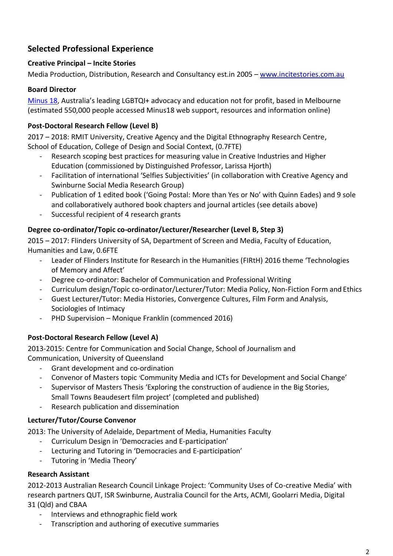# **Selected Professional Experience**

#### **Creative Principal – Incite Stories**

Media Production, Distribution, Research and Consultancy est.in 2005 – [www.incitestories.com.au](http://www.incitestories.com.au/)

#### **Board Director**

[Minus 18](https://www.minus18.org.au/index.php/get-involved/about), Australia's leading LGBTQI+ advocacy and education not for profit, based in Melbourne (estimated 550,000 people accessed Minus18 web support, resources and information online)

### **Post-Doctoral Research Fellow (Level B)**

2017 – 2018: RMIT University, Creative Agency and the Digital Ethnography Research Centre, School of Education, College of Design and Social Context, (0.7FTE)

- Research scoping best practices for measuring value in Creative Industries and Higher Education (commissioned by Distinguished Professor, Larissa Hjorth)
- Facilitation of international 'Selfies Subjectivities' (in collaboration with Creative Agency and Swinburne Social Media Research Group)
- Publication of 1 edited book ('Going Postal: More than Yes or No' with Quinn Eades) and 9 sole and collaboratively authored book chapters and journal articles (see details above)
- Successful recipient of 4 research grants

### **Degree co-ordinator/Topic co-ordinator/Lecturer/Researcher (Level B, Step 3)**

2015 – 2017: Flinders University of SA, Department of Screen and Media, Faculty of Education, Humanities and Law, 0.6FTE

- Leader of Flinders Institute for Research in the Humanities (FIRtH) 2016 theme 'Technologies of Memory and Affect'
- Degree co-ordinator: Bachelor of Communication and Professional Writing
- Curriculum design/Topic co-ordinator/Lecturer/Tutor: Media Policy, Non-Fiction Form and Ethics
- Guest Lecturer/Tutor: Media Histories, Convergence Cultures, Film Form and Analysis, Sociologies of Intimacy
- PHD Supervision Monique Franklin (commenced 2016)

### **Post-Doctoral Research Fellow (Level A)**

2013-2015: Centre for Communication and Social Change, School of Journalism and Communication, University of Queensland

- Grant development and co-ordination
- Convenor of Masters topic 'Community Media and ICTs for Development and Social Change'
- Supervisor of Masters Thesis 'Exploring the construction of audience in the Big Stories, Small Towns Beaudesert film project' (completed and published)
- Research publication and dissemination

### **Lecturer/Tutor/Course Convenor**

2013: The University of Adelaide, Department of Media, Humanities Faculty

- Curriculum Design in 'Democracies and E-participation'
- Lecturing and Tutoring in 'Democracies and E-participation'
- Tutoring in 'Media Theory'

### **Research Assistant**

2012-2013 Australian Research Council Linkage Project: 'Community Uses of Co-creative Media' with research partners QUT, ISR Swinburne, Australia Council for the Arts, ACMI, Goolarri Media, Digital 31 (Qld) and CBAA

- Interviews and ethnographic field work
- Transcription and authoring of executive summaries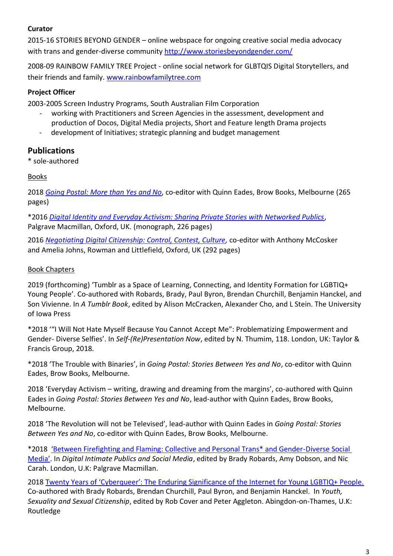#### **Curator**

2015-16 STORIES BEYOND GENDER – online webspace for ongoing creative social media advocacy with trans and gender-diverse community<http://www.storiesbeyondgender.com/>

2008-09 RAINBOW FAMILY TREE Project - online social network for GLBTQIS Digital Storytellers, and their friends and family. [www.rainbowfamilytree.com](http://www.rainbowfamilytree.com/)

## **Project Officer**

2003-2005 Screen Industry Programs, South Australian Film Corporation

- working with Practitioners and Screen Agencies in the assessment, development and production of Docos, Digital Media projects, Short and Feature length Drama projects
- development of Initiatives; strategic planning and budget management

## **Publications**

\* sole-authored

### Books

2018 *[Going Postal: More than](https://www.theliftedbrow.com/going-postal-more-than-yes-or-no) Yes and No*, co-editor with Quinn Eades, Brow Books, Melbourne (265 pages)

\*2016 *[Digital Identity and Everyday Activism: Sharing Private Stories with Networked Publics](https://www.palgrave.com/gp/book/9781137500731)*, Palgrave Macmillan, Oxford, UK. (monograph, 226 pages)

2016 *[Negotiating Digital Citizenship: Control, Contest, Culture,](https://www.rowmaninternational.com/book/negotiating_digital_citizenship/3-156-3185ffee-4c3e-4f84-875a-43c2505b34a5)* co-editor with Anthony McCosker and Amelia Johns, Rowman and Littlefield, Oxford, UK (292 pages)

#### Book Chapters

2019 (forthcoming) 'Tumblr as a Space of Learning, Connecting, and Identity Formation for LGBTIQ+ Young People'. Co-authored with Robards, Brady, Paul Byron, Brendan Churchill, Benjamin Hanckel, and Son Vivienne. In *A Tumblr Book*, edited by Alison McCracken, Alexander Cho, and L Stein. The University of Iowa Press

\*2018 '"I Will Not Hate Myself Because You Cannot Accept Me": Problematizing Empowerment and Gender- Diverse Selfies'. In *Self-(Re)Presentation Now*, edited by N. Thumim, 118. London, UK: Taylor & Francis Group, 2018.

\*2018 'The Trouble with Binaries', in *Going Postal: Stories Between Yes and No*, co-editor with Quinn Eades, Brow Books, Melbourne.

2018 'Everyday Activism – writing, drawing and dreaming from the margins', co-authored with Quinn Eades in *Going Postal: Stories Between Yes and No*, lead-author with Quinn Eades, Brow Books, Melbourne.

2018 'The Revolution will not be Televised', lead-author with Quinn Eades in *Going Postal: Stories Between Yes and No*, co-editor with Quinn Eades, Brow Books, Melbourne.

\*2018 ['Between Firefighting and Flaming: Collective and Personal Trans\\* and Gender](https://link.springer.com/chapter/10.1007/978-3-319-97607-5_12)-Diverse Social [Media'](https://link.springer.com/chapter/10.1007/978-3-319-97607-5_12). In *Digital Intimate Publics and Social Media*, edited by Brady Robards, Amy Dobson, and Nic Carah. London, U.K: Palgrave Macmillan.

2018 [Twenty Years of 'Cyberqueer': The Enduring Significance of the Internet for Young LGBTIQ+ People.](https://www.academia.edu/38439007/Twenty_years_of_cyberqueer_The_enduring_significance_of_the_Internet_for_young_LGBTIQ_people) Co-authored with Brady Robards, Brendan Churchill, Paul Byron, and Benjamin Hanckel. In *Youth, Sexuality and Sexual Citizenship*, edited by Rob Cover and Peter Aggleton. Abingdon-on-Thames, U.K: Routledge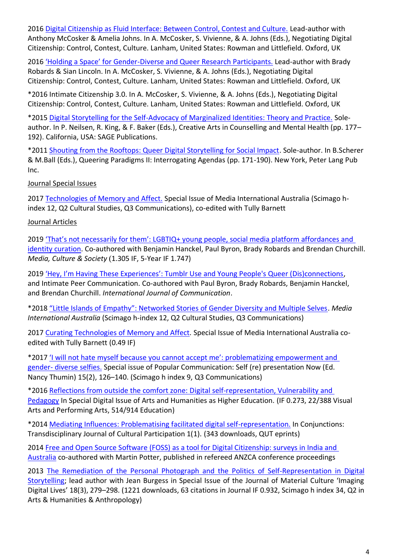2016 [Digital Citizenship as Fluid Interface: Between Control, Contest and Culture.](https://trove.nla.gov.au/work/233102677?q&versionId=257611733) Lead-author with Anthony McCosker & Amelia Johns. In A. McCosker, S. Vivienne, & A. Johns (Eds.), Negotiating Digital Citizenship: Control, Contest, Culture. Lanham, United States: Rowman and Littlefield. Oxford, UK

2016 'Holding a Space' for Gender[-Diverse and Queer Research Participants.](https://www.academia.edu/29787507/Holding_a_space_for_gender-diverse_and_queer_research_participants) Lead-author with Brady Robards & Sian Lincoln. In A. McCosker, S. Vivienne, & A. Johns (Eds.), Negotiating Digital Citizenship: Control, Contest, Culture. Lanham, United States: Rowman and Littlefield. Oxford, UK

\*2016 Intimate Citizenship 3.0. In A. McCosker, S. Vivienne, & A. Johns (Eds.), Negotiating Digital Citizenship: Control, Contest, Culture. Lanham, United States: Rowman and Littlefield. Oxford, UK

\*2015 [Digital Storytelling for the Self-Advocacy of Marginalized Identities: Theory and Practice.](http://sk.sagepub.com/books/creative-arts-in-counseling-and-mental-health/i1457.xml) Soleauthor. In P. Neilsen, R. King, & F. Baker (Eds.), Creative Arts in Counselling and Mental Health (pp. 177– 192). California, USA: SAGE Publications.

\*2011 [Shouting from the Rooftops: Queer Digital Storytelling for Social Impact.](https://eprints.qut.edu.au/43992/) Sole-author. In B.Scherer & M.Ball (Eds.), Queering Paradigms II: Interrogating Agendas (pp. 171-190). New York, Peter Lang Pub Inc.

Journal Special Issues

2017 [Technologies of Memory and Affect.](https://doi.org/10.1177%2F1329878X17727626) Special Issue of Media International Australia (Scimago hindex 12, Q2 Cultural Studies, Q3 Communications), co-edited with Tully Barnett

### Journal Articles

2019 'That's not necessarily for them': LGBTIQ+ young people, social media platform affordances and [identity curation.](https://doi.org/10.1177/0163443719846612) Co-authored with Benjamin Hanckel, Paul Byron, Brady Robards and Brendan Churchill. *Media, Culture & Society* (1.305 IF, 5-Year IF 1.747)

2019 'Hey, I'm Having [These Experiences': Tumblr Use and Young People's Queer \(Dis\)connections](https://www.rowmaninternational.com/book/negotiating_digital_citizenship/3-156-3185ffee-4c3e-4f84-875a-43c2505b34a5), and Intimate Peer Communication. Co-authored with Paul Byron, Brady Robards, Benjamin Hanckel, and Brendan Churchill. *International Journal of Communication*.

\*2018 ["Little Islands of Empathy": Networked Stories of Gender Diversity and Multiple Selves](https://doi.org/10.1177/1329878X18783019). *Media International Australia* (Scimago h-index 12, Q2 Cultural Studies, Q3 Communications)

2017 [Curating Technologies of Memory and Affect](https://doi.org/10.1177%2F1329878X17727626)*.* Special Issue of Media International Australia coedited with Tully Barnett (0.49 IF)

\*2017 ['I will not hate myself because you cannot accept me': problematizing empowerment and](https://doi.org/10.1080/15405702.2016.1269906)  gender- [diverse selfies.](https://doi.org/10.1080/15405702.2016.1269906) Special issue of Popular Communication: Self (re) presentation Now (Ed. Nancy Thumin) 15(2), 126–140. (Scimago h index 9, Q3 Communications)

\*2016 [Reflections from outside the comfort zone: Digital self-representation, Vulnerability and](http://www.artsandhumanities.org/journal/reflections-from-outside-the-comfort-zone-digital-self-representation-vulnerability-and-pedagogy/)  [Pedagogy](http://www.artsandhumanities.org/journal/reflections-from-outside-the-comfort-zone-digital-self-representation-vulnerability-and-pedagogy/) In Special Digital Issue of Arts and Humanities as Higher Education. (IF 0.273, 22/388 Visual Arts and Performing Arts, 514/914 Education)

\*2014 [Mediating Influences: Problematising facilitated digital self-representation.](https://tidsskrift.dk/tcp/article/view/18606) In Conjunctions: Transdisciplinary Journal of Cultural Participation 1(1). (343 downloads, QUT eprints)

2014 Free and Open Source Software (FOSS) as a tool for Digital Citizenship: surveys in India and [Australia](http://www.anzca.net/conferences/past-conferences/2014-conf/p2.html) co-authored with Martin Potter, published in refereed ANZCA conference proceedings

2013 The Remediation of the Personal Photograph and the Politics of Self-Representation in Digital [Storytelling](http://mcu.sagepub.com/content/18/3/279.abstract); lead author with Jean Burgess in Special Issue of the Journal of Material Culture 'Imaging Digital Lives' 18(3), 279–298. (1221 downloads, 63 citations in Journal IF 0.932, Scimago h index 34, Q2 in Arts & Humanities & Anthropology)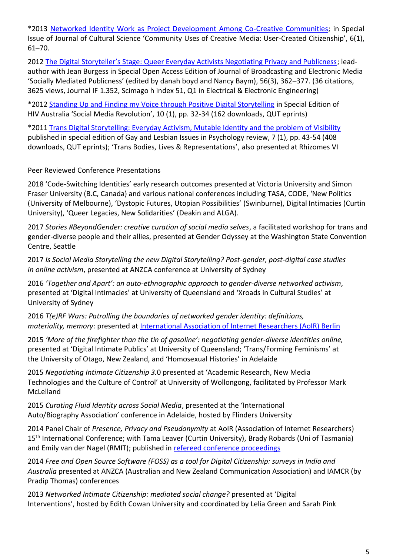\*2013 [Networked Identity Work as Project Development Among Co-Creative Communities;](https://www.researchgate.net/publication/281562606_Networked_Identity_Work_as_Project_Development_Among_Co-Creative_Communities) in Special Issue of Journal of Cultural Science 'Community Uses of Creative Media: User-Created Citizenship', 6(1), 61–70.

2012 [The Digital Storyteller's Stage: Queer Everyday Activists Negotiating Privacy and Publicness](https://www.researchgate.net/publication/281562606_Networked_Identity_Work_as_Project_Development_Among_Co-Creative_Communities); leadauthor with Jean Burgess in Special Open Access Edition of Journal of Broadcasting and Electronic Media 'Socially Mediated Publicness' (edited by danah boyd and Nancy Baym), 56(3), 362–377. (36 citations, 3625 views, Journal IF 1.352, Scimago h index 51, Q1 in Electrical & Electronic Engineering)

\*2012 [Standing Up and Finding my Voice through Positive Digital Storytelling](https://www.afao.org.au/article/standing-finding-voice-positive-digital-storytelling/) in Special Edition of HIV Australia 'Social Media Revolution', 10 (1), pp. 32-34 (162 downloads, QUT eprints)

\*2011 [Trans Digital Storytelling: Everyday Activism, Mutable Identity and the problem of Visibility](https://eprints.qut.edu.au/41375/) published in special edition of Gay and Lesbian Issues in Psychology review, 7 (1), pp. 43-54 (408 downloads, QUT eprints); 'Trans Bodies, Lives & Representations', also presented at Rhizomes VI

#### Peer Reviewed Conference Presentations

2018 'Code-Switching Identities' early research outcomes presented at Victoria University and Simon Fraser University (B.C, Canada) and various national conferences including TASA, CODE, 'New Politics (University of Melbourne), 'Dystopic Futures, Utopian Possibilities' (Swinburne), Digital Intimacies (Curtin University), 'Queer Legacies, New Solidarities' (Deakin and ALGA).

2017 *Stories #BeyondGender: creative curation of social media selves*, a facilitated workshop for trans and gender-diverse people and their allies, presented at Gender Odyssey at the Washington State Convention Centre, Seattle

2017 *Is Social Media Storytelling the new Digital Storytelling? Post-gender, post-digital case studies in online activism*, presented at ANZCA conference at University of Sydney

2016 *'Together and Apart': an auto-ethnographic approach to gender-diverse networked activism*, presented at 'Digital Intimacies' at University of Queensland and 'Xroads in Cultural Studies' at University of Sydney

2016 *T(e)RF Wars: Patrolling the boundaries of networked gender identity: definitions, materiality, memory*: presented at [International Association of Internet Researchers \(AoIR\) Berlin](https://spir.aoir.org/ojs/index.php/spir/article/view/8778)

2015 *'More of the firefighter than the tin of gasoline': negotiating gender-diverse identities online,*  presented at 'Digital Intimate Publics' at University of Queensland; 'Trans/Forming Feminisms' at the University of Otago, New Zealand, and 'Homosexual Histories' in Adelaide

2015 *Negotiating Intimate Citizenship 3.*0 presented at 'Academic Research, New Media Technologies and the Culture of Control' at University of Wollongong, facilitated by Professor Mark McLelland

2015 *Curating Fluid Identity across Social Media*, presented at the 'International Auto/Biography Association' conference in Adelaide, hosted by Flinders University

2014 Panel Chair of *Presence, Privacy and Pseudonymity* at AoIR (Association of Internet Researchers) 15<sup>th</sup> International Conference; with Tama Leaver (Curtin University), Brady Robards (Uni of Tasmania) and Emily van der Nagel (RMIT); published in [refereed conference proceedings](https://spir.aoir.org/ojs/index.php/spir/article/view/8798)

2014 *Free and Open Source Software (FOSS) as a tool for Digital Citizenship: surveys in India and Australia* presented at ANZCA (Australian and New Zealand Communication Association) and IAMCR (by Pradip Thomas) conferences

2013 *Networked Intimate Citizenship: mediated social change?* presented at 'Digital Interventions', hosted by Edith Cowan University and coordinated by Lelia Green and Sarah Pink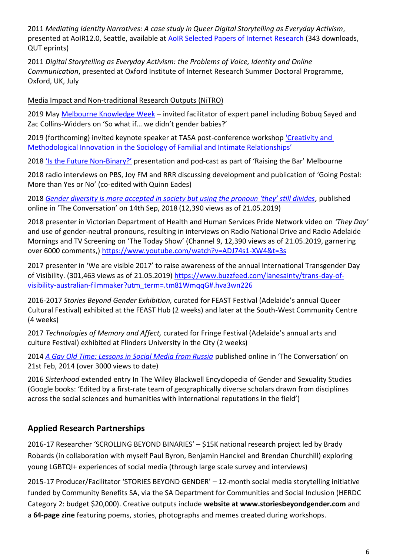2011 *Mediating Identity Narratives: A case study in Queer Digital Storytelling as Everyday Activism*, presented at AoIR12.0, Seattle, available at **AoIR Selected Papers of Internet Research** (343 downloads, QUT eprints)

2011 *Digital Storytelling as Everyday Activism: the Problems of Voice, Identity and Online Communication*, presented at Oxford Institute of Internet Research Summer Doctoral Programme, Oxford, UK, July

Media Impact and Non-traditional Research Outputs (NiTRO)

2019 May [Melbourne Knowledge Week](https://mkw.melbourne.vic.gov.au/events/so-what-if-we-didnt-gender-babies/) – invited facilitator of expert panel including Bobuq Sayed and Zac Collins-Widders on 'So what if… we didn't gender babies?'

2019 (forthcoming) invited keynote speaker at TASA post-conference workshop 'Creativity and Methodological Innovati[on in the Sociology of Familial and Intimate Relationships'](https://tasa.org.au/events/creativity-and-methodological-innovation-in-the-sociology-of-familial-and-intimate-relationships/)

2018 ['Is the Future Non](http://www.rtbevent.com/son-vivienne)-Binary?' presentation and pod-cast as part of 'Raising the Bar' Melbourne

2018 radio interviews on PBS, Joy FM and RRR discussing development and publication of 'Going Postal: More than Yes or No' (co-edited with Quinn Eades)

2018 *Gen[der diversity is more accepted in society but using the pronoun 'they' still divides](https://theconversation.com/gender-diversity-is-more-accepted-in-society-but-using-the-pronoun-they-still-divides-101677),* published online in 'The Conversation' on 14th Sep, 2018 (12,390 views as of 21.05.2019)

2018 presenter in Victorian Department of Health and Human Services Pride Network video on *'They Day'*  and use of gender-neutral pronouns, resulting in interviews on Radio National Drive and Radio Adelaide Mornings and TV Screening on 'The Today Show' (Channel 9, 12,390 views as of 21.05.2019, garnering over 6000 comments,) <https://www.youtube.com/watch?v=ADJ74s1-XW4&t=3s>

2017 presenter in 'We are visible 2017' to raise awareness of the annual International Transgender Day of Visibility. (301,463 views as of 21.05.2019) [https://www.buzzfeed.com/lanesainty/trans-day-of](https://www.buzzfeed.com/lanesainty/trans-day-of-visibility-australian-filmmaker?utm_term=.tm81WmqqG#.hva3wn226)[visibility-australian-filmmaker?utm\\_term=.tm81WmqqG#.hva3wn226](https://www.buzzfeed.com/lanesainty/trans-day-of-visibility-australian-filmmaker?utm_term=.tm81WmqqG#.hva3wn226)

2016-2017 *Stories Beyond Gender Exhibition,* curated for FEAST Festival (Adelaide's annual Queer Cultural Festival) exhibited at the FEAST Hub (2 weeks) and later at the South-West Community Centre (4 weeks)

2017 *Technologies of Memory and Affect,* curated for Fringe Festival (Adelaide's annual arts and culture Festival) exhibited at Flinders University in the City (2 weeks)

2014 *[A Gay Old Time: Lessons in Social Media from Russia](http://www.theconversation.com/a-gay-old-time-social-media-lessons-from-russia-23362)* published online in 'The Conversation' on 21st Feb, 2014 (over 3000 views to date)

2016 *Sisterhood* extended entry In The Wiley Blackwell Encyclopedia of Gender and Sexuality Studies (Google books: 'Edited by a first-rate team of geographically diverse scholars drawn from disciplines across the social sciences and humanities with international reputations in the field')

## **Applied Research Partnerships**

2016-17 Researcher 'SCROLLING BEYOND BINARIES' – \$15K national research project led by Brady Robards (in collaboration with myself Paul Byron, Benjamin Hanckel and Brendan Churchill) exploring young LGBTQI+ experiences of social media (through large scale survey and interviews)

2015-17 Producer/Facilitator 'STORIES BEYOND GENDER' – 12-month social media storytelling initiative funded by Community Benefits SA, via the SA Department for Communities and Social Inclusion (HERDC Category 2: budget \$20,000). Creative outputs include **website a[t www.storiesbeyondgender.com](http://www.storiesbeyondgender.com/)** and a **64-page zine** featuring poems, stories, photographs and memes created during workshops.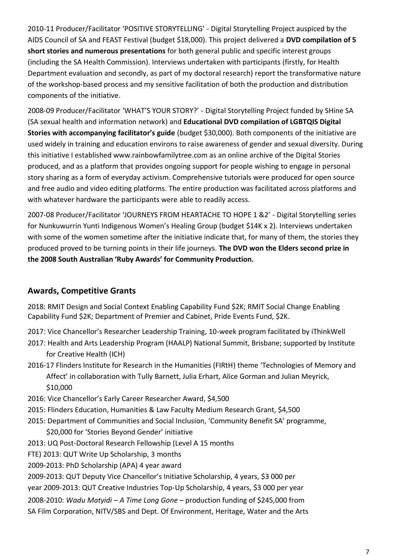2010-11 Producer/Facilitator 'POSITIVE STORYTELLING' - Digital Storytelling Project auspiced by the AIDS Council of SA and FEAST Festival (budget \$18,000). This project delivered a **DVD compilation of 5 short stories and numerous presentations** for both general public and specific interest groups (including the SA Health Commission). Interviews undertaken with participants (firstly, for Health Department evaluation and secondly, as part of my doctoral research) report the transformative nature of the workshop-based process and my sensitive facilitation of both the production and distribution components of the initiative.

2008-09 Producer/Facilitator 'WHAT'S YOUR STORY?' - Digital Storytelling Project funded by SHine SA (SA sexual health and information network) and **Educational DVD compilation of LGBTQIS Digital Stories with accompanying facilitator's guide** (budget \$30,000). Both components of the initiative are used widely in training and education environs to raise awareness of gender and sexual diversity. During this initiative I establi[shed www.rainbowfamilytree.com](http://www.rainbowfamilytree.com/) as an online archive of the Digital Stories produced, and as a platform that provides ongoing support for people wishing to engage in personal story sharing as a form of everyday activism. Comprehensive tutorials were produced for open source and free audio and video editing platforms. The entire production was facilitated across platforms and with whatever hardware the participants were able to readily access.

2007-08 Producer/Facilitator 'JOURNEYS FROM HEARTACHE TO HOPE 1 &2' - Digital Storytelling series for Nunkuwurrin Yunti Indigenous Women's Healing Group (budget \$14K x 2). Interviews undertaken with some of the women sometime after the initiative indicate that, for many of them, the stories they produced proved to be turning points in their life journeys. **The DVD won the Elders second prize in the 2008 South Australian 'Ruby Awards' for Community Production.**

## **Awards, Competitive Grants**

2018: RMIT Design and Social Context Enabling Capability Fund \$2K; RMIT Social Change Enabling Capability Fund \$2K; Department of Premier and Cabinet, Pride Events Fund, \$2K.

- 2017: Vice Chancellor's Researcher Leadership Training, 10-week program facilitated by iThinkWell
- 2017: Health and Arts Leadership Program (HAALP) National Summit, Brisbane; supported by Institute for Creative Health (ICH)
- 2016-17 Flinders Institute for Research in the Humanities (FIRtH) theme 'Technologies of Memory and Affect' in collaboration with Tully Barnett, Julia Erhart, Alice Gorman and Julian Meyrick, \$10,000

2016: Vice Chancellor's Early Career Researcher Award, \$4,500

- 2015: Flinders Education, Humanities & Law Faculty Medium Research Grant, \$4,500
- 2015: Department of Communities and Social Inclusion, 'Community Benefit SA' programme, \$20,000 for 'Stories Beyond Gender' initiative
- 2013: UQ Post-Doctoral Research Fellowship (Level A 15 months

FTE) 2013: QUT Write Up Scholarship, 3 months

2009-2013: PhD Scholarship (APA) 4 year award

2009-2013: QUT Deputy Vice Chancellor's Initiative Scholarship, 4 years, \$3 000 per

year 2009-2013: QUT Creative Industries Top-Up Scholarship, 4 years, \$3 000 per year

2008-2010: *Wadu Matyidi – A Time Long Gone* – production funding of \$245,000 from SA Film Corporation, NITV/SBS and Dept. Of Environment, Heritage, Water and the Arts